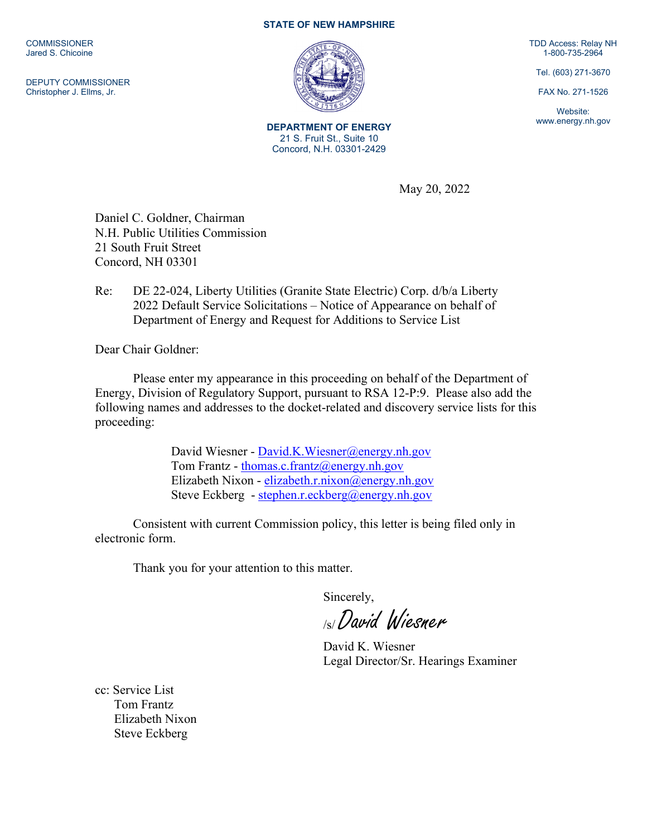**COMMISSIONER** Jared S. Chicoine

DEPUTY COMMISSIONER Christopher J. Ellms, Jr.

## **STATE OF NEW HAMPSHIRE**



**DEPARTMENT OF ENERGY** 21 S. Fruit St., Suite 10 Concord, N.H. 03301-2429

TDD Access: Relay NH 1-800-735-2964

Tel. (603) 271-3670

FAX No. 271-1526

Website: www.energy.nh.gov

May 20, 2022

Daniel C. Goldner, Chairman N.H. Public Utilities Commission 21 South Fruit Street Concord, NH 03301

Re: DE 22-024, Liberty Utilities (Granite State Electric) Corp. d/b/a Liberty 2022 Default Service Solicitations – Notice of Appearance on behalf of Department of Energy and Request for Additions to Service List

Dear Chair Goldner:

Please enter my appearance in this proceeding on behalf of the Department of Energy, Division of Regulatory Support, pursuant to RSA 12-P:9. Please also add the following names and addresses to the docket-related and discovery service lists for this proceeding:

> David Wiesner - [David.K.Wiesner@energy.nh.gov](mailto:David.K.Wiesner@energy.nh.gov) Tom Frantz - [thomas.c.frantz@energy.nh.gov](mailto:thomas.c.frantz@energy.nh.gov) Elizabeth Nixon - [elizabeth.r.nixon@energy.nh.gov](mailto:elizabeth.r.nixon@energy.nh.gov) Steve Eckberg - [stephen.r.eckberg@energy.nh.gov](mailto:stephen.r.eckberg@energy.nh.gov)

Consistent with current Commission policy, this letter is being filed only in electronic form.

Thank you for your attention to this matter.

Sincerely,

/s/ David Wiesner

David K. Wiesner Legal Director/Sr. Hearings Examiner

cc: Service List Tom Frantz Elizabeth Nixon Steve Eckberg